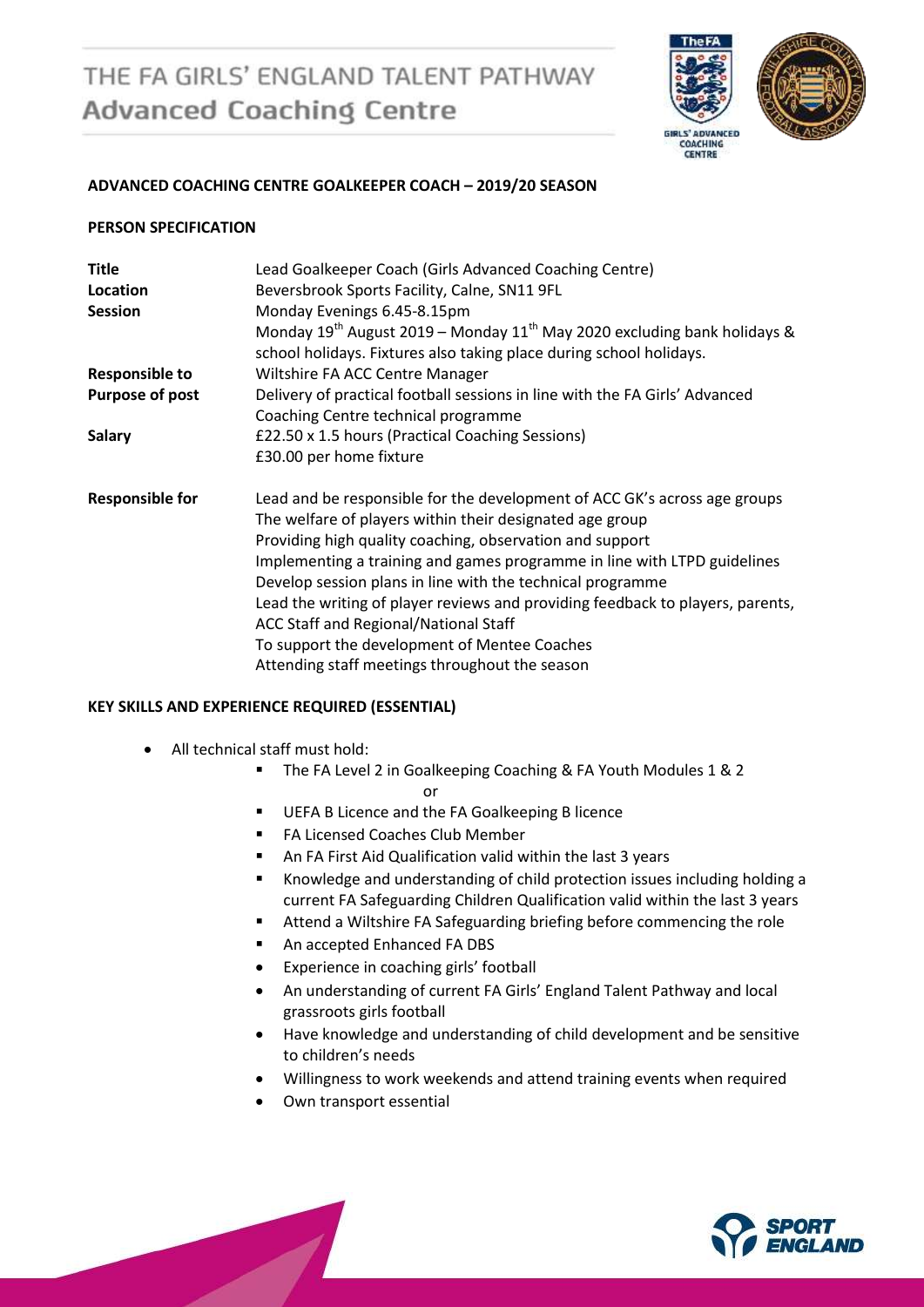# THE FA GIRLS' ENGLAND TALENT PATHWAY **Advanced Coaching Centre**



#### **ADVANCED COACHING CENTRE GOALKEEPER COACH – 2019/20 SEASON**

#### **PERSON SPECIFICATION**

| <b>Title</b><br>Location<br><b>Session</b> | Lead Goalkeeper Coach (Girls Advanced Coaching Centre)<br>Beversbrook Sports Facility, Calne, SN11 9FL<br>Monday Evenings 6.45-8.15pm<br>Monday $19^{th}$ August 2019 – Monday $11^{th}$ May 2020 excluding bank holidays &<br>school holidays. Fixtures also taking place during school holidays. |
|--------------------------------------------|----------------------------------------------------------------------------------------------------------------------------------------------------------------------------------------------------------------------------------------------------------------------------------------------------|
| <b>Responsible to</b>                      | Wiltshire FA ACC Centre Manager                                                                                                                                                                                                                                                                    |
| <b>Purpose of post</b>                     | Delivery of practical football sessions in line with the FA Girls' Advanced<br>Coaching Centre technical programme                                                                                                                                                                                 |
| <b>Salary</b>                              | £22.50 x 1.5 hours (Practical Coaching Sessions)                                                                                                                                                                                                                                                   |
|                                            | £30.00 per home fixture                                                                                                                                                                                                                                                                            |
| <b>Responsible for</b>                     | Lead and be responsible for the development of ACC GK's across age groups<br>The welfare of players within their designated age group<br>Providing high quality coaching, observation and support                                                                                                  |
|                                            | Implementing a training and games programme in line with LTPD guidelines                                                                                                                                                                                                                           |
|                                            | Develop session plans in line with the technical programme<br>Lead the writing of player reviews and providing feedback to players, parents,                                                                                                                                                       |
|                                            | ACC Staff and Regional/National Staff                                                                                                                                                                                                                                                              |
|                                            | To support the development of Mentee Coaches                                                                                                                                                                                                                                                       |
|                                            | Attending staff meetings throughout the season                                                                                                                                                                                                                                                     |

#### **KEY SKILLS AND EXPERIENCE REQUIRED (ESSENTIAL)**

- All technical staff must hold:
	- The FA Level 2 in Goalkeeping Coaching & FA Youth Modules 1 & 2

#### or

- **UEFA B Licence and the FA Goalkeeping B licence**
- **FA Licensed Coaches Club Member**
- An FA First Aid Qualification valid within the last 3 years
- Knowledge and understanding of child protection issues including holding a current FA Safeguarding Children Qualification valid within the last 3 years
- Attend a Wiltshire FA Safeguarding briefing before commencing the role
- An accepted Enhanced FA DBS
- Experience in coaching girls' football
- An understanding of current FA Girls' England Talent Pathway and local grassroots girls football
- Have knowledge and understanding of child development and be sensitive to children's needs
- Willingness to work weekends and attend training events when required
- Own transport essential